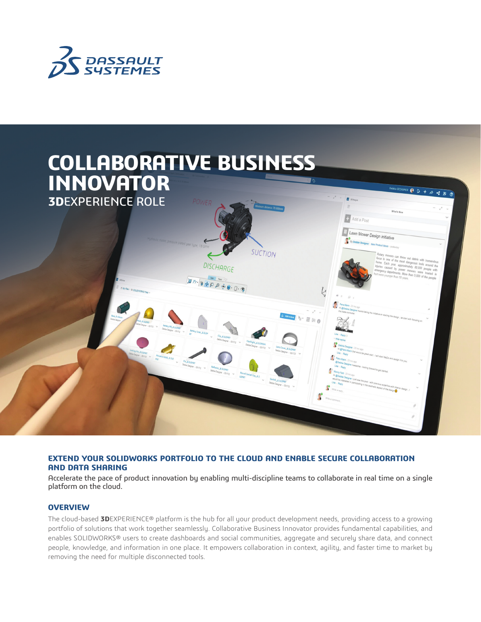



# **EXTEND YOUR SOLIDWORKS PORTFOLIO TO THE CLOUD AND ENABLE SECURE COLLABORATION AND DATA SHARING**

Accelerate the pace of product innovation by enabling multi-discipline teams to collaborate in real time on a single platform on the cloud.

# **OVERVIEW**

The cloud-based **3D**EXPERIENCE® platform is the hub for all your product development needs, providing access to a growing portfolio of solutions that work together seamlessly. Collaborative Business Innovator provides fundamental capabilities, and enables SOLIDWORKS® users to create dashboards and social communities, aggregate and securely share data, and connect people, knowledge, and information in one place. It empowers collaboration in context, agility, and faster time to market by removing the need for multiple disconnected tools.